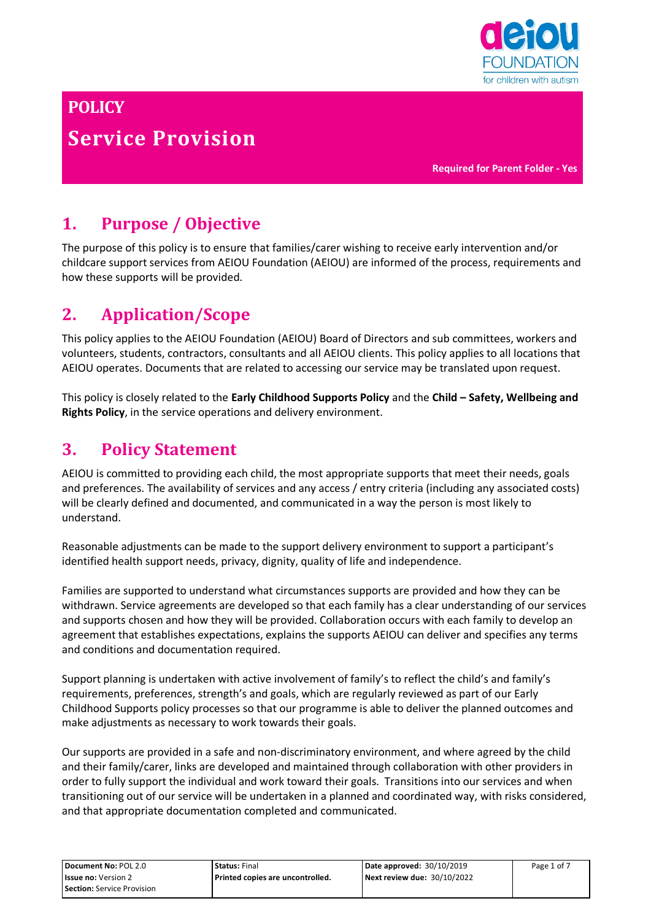

# **POLICY Service Provision**

**Required for Parent Folder - Yes**

# **1. Purpose / Objective**

The purpose of this policy is to ensure that families/carer wishing to receive early intervention and/or childcare support services from AEIOU Foundation (AEIOU) are informed of the process, requirements and how these supports will be provided.

# **2. Application/Scope**

This policy applies to the AEIOU Foundation (AEIOU) Board of Directors and sub committees, workers and volunteers, students, contractors, consultants and all AEIOU clients. This policy applies to all locations that AEIOU operates. Documents that are related to accessing our service may be translated upon request.

This policy is closely related to the **Early Childhood Supports Policy** and the **Child – Safety, Wellbeing and Rights Policy**, in the service operations and delivery environment.

# **3. Policy Statement**

AEIOU is committed to providing each child, the most appropriate supports that meet their needs, goals and preferences. The availability of services and any access / entry criteria (including any associated costs) will be clearly defined and documented, and communicated in a way the person is most likely to understand.

Reasonable adjustments can be made to the support delivery environment to support a participant's identified health support needs, privacy, dignity, quality of life and independence.

Families are supported to understand what circumstances supports are provided and how they can be withdrawn. Service agreements are developed so that each family has a clear understanding of our services and supports chosen and how they will be provided. Collaboration occurs with each family to develop an agreement that establishes expectations, explains the supports AEIOU can deliver and specifies any terms and conditions and documentation required.

Support planning is undertaken with active involvement of family's to reflect the child's and family's requirements, preferences, strength's and goals, which are regularly reviewed as part of our Early Childhood Supports policy processes so that our programme is able to deliver the planned outcomes and make adjustments as necessary to work towards their goals.

Our supports are provided in a safe and non-discriminatory environment, and where agreed by the child and their family/carer, links are developed and maintained through collaboration with other providers in order to fully support the individual and work toward their goals. Transitions into our services and when transitioning out of our service will be undertaken in a planned and coordinated way, with risks considered, and that appropriate documentation completed and communicated.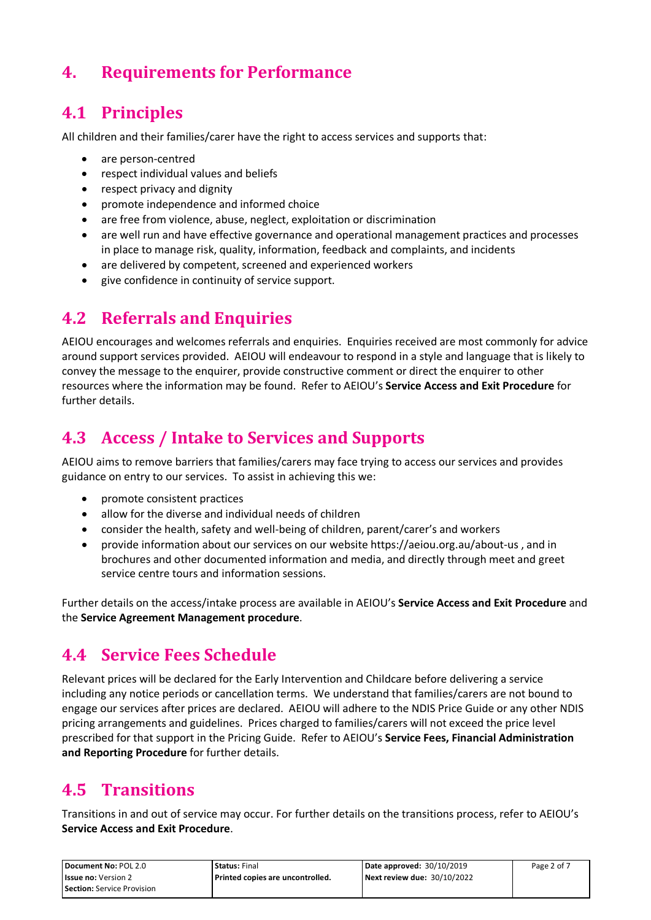# **4. Requirements for Performance**

# **4.1 Principles**

All children and their families/carer have the right to access services and supports that:

- are person-centred
- respect individual values and beliefs
- respect privacy and dignity
- promote independence and informed choice
- are free from violence, abuse, neglect, exploitation or discrimination
- are well run and have effective governance and operational management practices and processes in place to manage risk, quality, information, feedback and complaints, and incidents
- are delivered by competent, screened and experienced workers
- give confidence in continuity of service support.

## **4.2 Referrals and Enquiries**

AEIOU encourages and welcomes referrals and enquiries. Enquiries received are most commonly for advice around support services provided. AEIOU will endeavour to respond in a style and language that is likely to convey the message to the enquirer, provide constructive comment or direct the enquirer to other resources where the information may be found. Refer to AEIOU's **Service Access and Exit Procedure** for further details.

## **4.3 Access / Intake to Services and Supports**

AEIOU aims to remove barriers that families/carers may face trying to access our services and provides guidance on entry to our services. To assist in achieving this we:

- promote consistent practices
- allow for the diverse and individual needs of children
- consider the health, safety and well-being of children, parent/carer's and workers
- provide information about our services on our website<https://aeiou.org.au/about-us> , and in brochures and other documented information and media, and directly through meet and greet service centre tours and information sessions.

Further details on the access/intake process are available in AEIOU's **Service Access and Exit Procedure** and the **Service Agreement Management procedure**.

#### **4.4 Service Fees Schedule**

Relevant prices will be declared for the Early Intervention and Childcare before delivering a service including any notice periods or cancellation terms. We understand that families/carers are not bound to engage our services after prices are declared. AEIOU will adhere to the NDIS Price Guide or any other NDIS pricing arrangements and guidelines. Prices charged to families/carers will not exceed the price level prescribed for that support in the Pricing Guide. Refer to AEIOU's **Service Fees, Financial Administration and Reporting Procedure** for further details.

# **4.5 Transitions**

Transitions in and out of service may occur. For further details on the transitions process, refer to AEIOU's **Service Access and Exit Procedure**.

| Document No: POL 2.0              | <b>Status: Final</b>               | Date approved: $30/10/2019$ | Page 2 of 7 |
|-----------------------------------|------------------------------------|-----------------------------|-------------|
| <b>Issue no:</b> Version 2        | l Printed copies are uncontrolled. | Next review due: 30/10/2022 |             |
| <b>Section:</b> Service Provision |                                    |                             |             |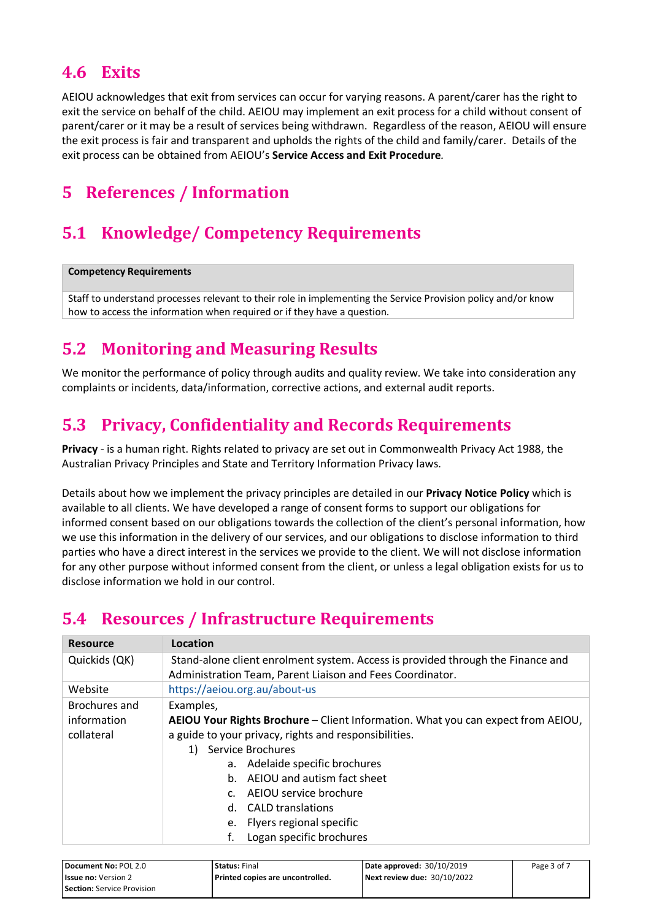## **4.6 Exits**

AEIOU acknowledges that exit from services can occur for varying reasons. A parent/carer has the right to exit the service on behalf of the child. AEIOU may implement an exit process for a child without consent of parent/carer or it may be a result of services being withdrawn. Regardless of the reason, AEIOU will ensure the exit process is fair and transparent and upholds the rights of the child and family/carer. Details of the exit process can be obtained from AEIOU's **Service Access and Exit Procedure***.*

# **5 References / Information**

# **5.1 Knowledge/ Competency Requirements**

#### **Competency Requirements**

Staff to understand processes relevant to their role in implementing the Service Provision policy and/or know how to access the information when required or if they have a question.

## **5.2 Monitoring and Measuring Results**

We monitor the performance of policy through audits and quality review. We take into consideration any complaints or incidents, data/information, corrective actions, and external audit reports.

## **5.3 Privacy, Confidentiality and Records Requirements**

**Privacy** - is a human right. Rights related to privacy are set out in Commonwealth Privacy Act 1988, the Australian Privacy Principles and State and Territory Information Privacy laws.

Details about how we implement the privacy principles are detailed in our **Privacy Notice Policy** which is available to all clients. We have developed a range of consent forms to support our obligations for informed consent based on our obligations towards the collection of the client's personal information, how we use this information in the delivery of our services, and our obligations to disclose information to third parties who have a direct interest in the services we provide to the client. We will not disclose information for any other purpose without informed consent from the client, or unless a legal obligation exists for us to disclose information we hold in our control.

# **5.4 Resources / Infrastructure Requirements**

| <b>Resource</b> | Location                                                                         |  |  |
|-----------------|----------------------------------------------------------------------------------|--|--|
| Quickids (QK)   | Stand-alone client enrolment system. Access is provided through the Finance and  |  |  |
|                 | Administration Team, Parent Liaison and Fees Coordinator.                        |  |  |
| Website         | https://aeiou.org.au/about-us                                                    |  |  |
| Brochures and   | Examples,                                                                        |  |  |
| information     | AEIOU Your Rights Brochure - Client Information. What you can expect from AEIOU, |  |  |
| collateral      | a guide to your privacy, rights and responsibilities.                            |  |  |
|                 | 1) Service Brochures                                                             |  |  |
|                 | a. Adelaide specific brochures                                                   |  |  |
|                 | AEIOU and autism fact sheet<br>$h_{-}$                                           |  |  |
|                 | AEIOU service brochure<br>$C_{\cdot}$                                            |  |  |
|                 | d. CALD translations                                                             |  |  |
|                 | Flyers regional specific<br>e.                                                   |  |  |
|                 | Logan specific brochures<br>f.                                                   |  |  |

| Document No: POL 2.0              | <b>Status:</b> Final               | Date approved: 30/10/2019   | Page 3 of 7 |
|-----------------------------------|------------------------------------|-----------------------------|-------------|
| <b>Issue no: Version 2</b>        | l Printed copies are uncontrolled. | Next review due: 30/10/2022 |             |
| <b>Section:</b> Service Provision |                                    |                             |             |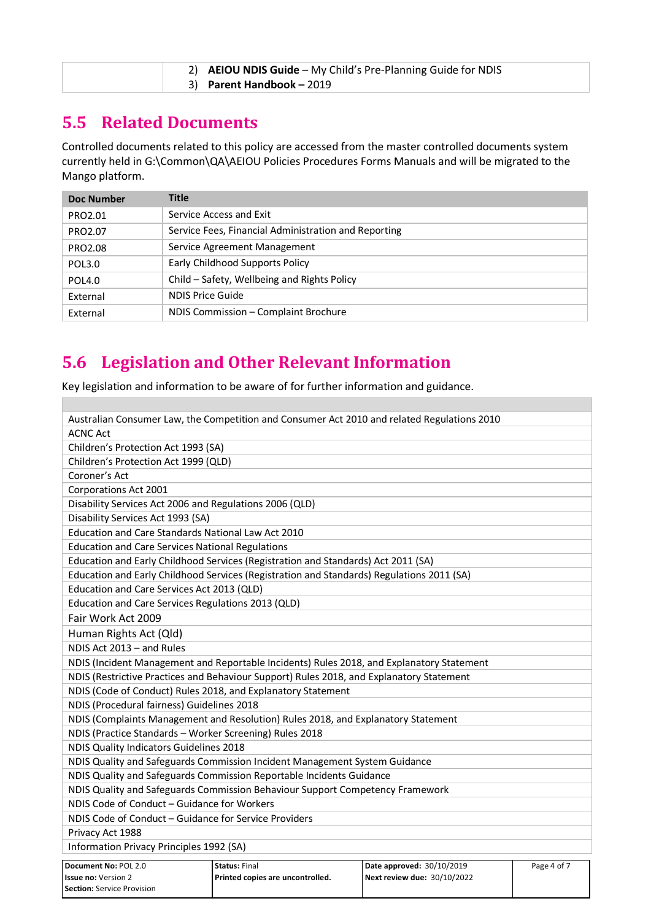| 2) AEIOU NDIS Guide - My Child's Pre-Planning Guide for NDIS |  |
|--------------------------------------------------------------|--|
| 3) Parent Handbook - 2019                                    |  |

### **5.5 Related Documents**

**Section:** Service Provision

Controlled documents related to this policy are accessed from the master controlled documents system currently held in G:\Common\QA\AEIOU Policies Procedures Forms Manuals and will be migrated to the Mango platform.

| Doc Number    | <b>Title</b>                                         |
|---------------|------------------------------------------------------|
| PRO2.01       | Service Access and Exit                              |
| PRO2.07       | Service Fees, Financial Administration and Reporting |
| PRO2.08       | Service Agreement Management                         |
| POL3.0        | Early Childhood Supports Policy                      |
| <b>POL4.0</b> | Child - Safety, Wellbeing and Rights Policy          |
| External      | NDIS Price Guide                                     |
| External      | NDIS Commission - Complaint Brochure                 |

# **5.6 Legislation and Other Relevant Information**

Key legislation and information to be aware of for further information and guidance.

| Australian Consumer Law, the Competition and Consumer Act 2010 and related Regulations 2010 |                                                                                           |                             |             |
|---------------------------------------------------------------------------------------------|-------------------------------------------------------------------------------------------|-----------------------------|-------------|
| <b>ACNC Act</b>                                                                             |                                                                                           |                             |             |
| Children's Protection Act 1993 (SA)                                                         |                                                                                           |                             |             |
| Children's Protection Act 1999 (QLD)                                                        |                                                                                           |                             |             |
| Coroner's Act                                                                               |                                                                                           |                             |             |
| Corporations Act 2001                                                                       |                                                                                           |                             |             |
| Disability Services Act 2006 and Regulations 2006 (QLD)                                     |                                                                                           |                             |             |
| Disability Services Act 1993 (SA)                                                           |                                                                                           |                             |             |
| Education and Care Standards National Law Act 2010                                          |                                                                                           |                             |             |
| <b>Education and Care Services National Regulations</b>                                     |                                                                                           |                             |             |
|                                                                                             | Education and Early Childhood Services (Registration and Standards) Act 2011 (SA)         |                             |             |
|                                                                                             | Education and Early Childhood Services (Registration and Standards) Regulations 2011 (SA) |                             |             |
| Education and Care Services Act 2013 (QLD)                                                  |                                                                                           |                             |             |
| Education and Care Services Regulations 2013 (QLD)                                          |                                                                                           |                             |             |
| Fair Work Act 2009                                                                          |                                                                                           |                             |             |
| Human Rights Act (Qld)                                                                      |                                                                                           |                             |             |
| NDIS Act 2013 - and Rules                                                                   |                                                                                           |                             |             |
| NDIS (Incident Management and Reportable Incidents) Rules 2018, and Explanatory Statement   |                                                                                           |                             |             |
| NDIS (Restrictive Practices and Behaviour Support) Rules 2018, and Explanatory Statement    |                                                                                           |                             |             |
| NDIS (Code of Conduct) Rules 2018, and Explanatory Statement                                |                                                                                           |                             |             |
| NDIS (Procedural fairness) Guidelines 2018                                                  |                                                                                           |                             |             |
|                                                                                             | NDIS (Complaints Management and Resolution) Rules 2018, and Explanatory Statement         |                             |             |
| NDIS (Practice Standards - Worker Screening) Rules 2018                                     |                                                                                           |                             |             |
| NDIS Quality Indicators Guidelines 2018                                                     |                                                                                           |                             |             |
|                                                                                             | NDIS Quality and Safeguards Commission Incident Management System Guidance                |                             |             |
|                                                                                             | NDIS Quality and Safeguards Commission Reportable Incidents Guidance                      |                             |             |
| NDIS Quality and Safeguards Commission Behaviour Support Competency Framework               |                                                                                           |                             |             |
| NDIS Code of Conduct - Guidance for Workers                                                 |                                                                                           |                             |             |
| NDIS Code of Conduct - Guidance for Service Providers                                       |                                                                                           |                             |             |
| Privacy Act 1988                                                                            |                                                                                           |                             |             |
| Information Privacy Principles 1992 (SA)                                                    |                                                                                           |                             |             |
| Document No: POL 2.0                                                                        | Status: Final                                                                             | Date approved: 30/10/2019   | Page 4 of 7 |
| <b>Issue no: Version 2</b>                                                                  | Printed copies are uncontrolled.                                                          | Next review due: 30/10/2022 |             |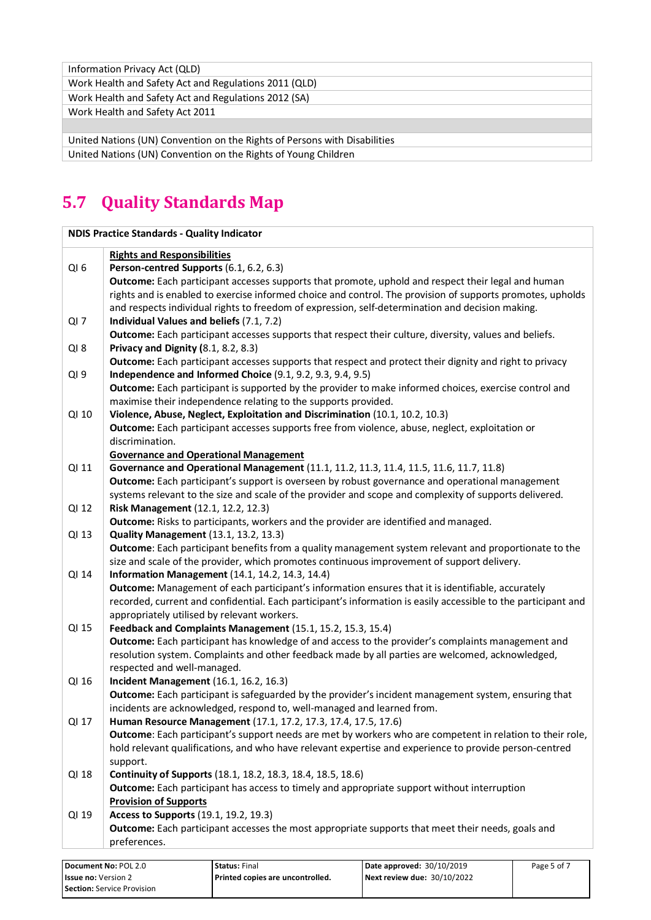| Information Privacy Act (QLD)                                             |
|---------------------------------------------------------------------------|
| Work Health and Safety Act and Regulations 2011 (QLD)                     |
| Work Health and Safety Act and Regulations 2012 (SA)                      |
| Work Health and Safety Act 2011                                           |
|                                                                           |
| United Nations (UN) Convention on the Rights of Persons with Disabilities |
| United Nations (UN) Convention on the Rights of Young Children            |

# **5.7 Quality Standards Map**

|                 | <b>NDIS Practice Standards - Quality Indicator</b>                                                                                             |
|-----------------|------------------------------------------------------------------------------------------------------------------------------------------------|
|                 | <b>Rights and Responsibilities</b>                                                                                                             |
| QI <sub>6</sub> | Person-centred Supports (6.1, 6.2, 6.3)                                                                                                        |
|                 | Outcome: Each participant accesses supports that promote, uphold and respect their legal and human                                             |
|                 | rights and is enabled to exercise informed choice and control. The provision of supports promotes, upholds                                     |
|                 | and respects individual rights to freedom of expression, self-determination and decision making.                                               |
| $QI$ 7          | Individual Values and beliefs (7.1, 7.2)                                                                                                       |
|                 | Outcome: Each participant accesses supports that respect their culture, diversity, values and beliefs.                                         |
| $QI_8$          | Privacy and Dignity (8.1, 8.2, 8.3)                                                                                                            |
|                 | Outcome: Each participant accesses supports that respect and protect their dignity and right to privacy                                        |
| QI <sub>9</sub> | Independence and Informed Choice (9.1, 9.2, 9.3, 9.4, 9.5)                                                                                     |
|                 | Outcome: Each participant is supported by the provider to make informed choices, exercise control and                                          |
|                 | maximise their independence relating to the supports provided.                                                                                 |
| QI 10           | Violence, Abuse, Neglect, Exploitation and Discrimination (10.1, 10.2, 10.3)                                                                   |
|                 | Outcome: Each participant accesses supports free from violence, abuse, neglect, exploitation or                                                |
|                 | discrimination.                                                                                                                                |
|                 | <b>Governance and Operational Management</b>                                                                                                   |
| QI 11           | Governance and Operational Management (11.1, 11.2, 11.3, 11.4, 11.5, 11.6, 11.7, 11.8)                                                         |
|                 | Outcome: Each participant's support is overseen by robust governance and operational management                                                |
|                 | systems relevant to the size and scale of the provider and scope and complexity of supports delivered.                                         |
| QI 12           | Risk Management (12.1, 12.2, 12.3)                                                                                                             |
|                 | Outcome: Risks to participants, workers and the provider are identified and managed.                                                           |
| QI 13           | Quality Management (13.1, 13.2, 13.3)<br>Outcome: Each participant benefits from a quality management system relevant and proportionate to the |
|                 | size and scale of the provider, which promotes continuous improvement of support delivery.                                                     |
| QI 14           | <b>Information Management</b> (14.1, 14.2, 14.3, 14.4)                                                                                         |
|                 | Outcome: Management of each participant's information ensures that it is identifiable, accurately                                              |
|                 | recorded, current and confidential. Each participant's information is easily accessible to the participant and                                 |
|                 | appropriately utilised by relevant workers.                                                                                                    |
| QI 15           | Feedback and Complaints Management (15.1, 15.2, 15.3, 15.4)                                                                                    |
|                 | Outcome: Each participant has knowledge of and access to the provider's complaints management and                                              |
|                 | resolution system. Complaints and other feedback made by all parties are welcomed, acknowledged,                                               |
|                 | respected and well-managed.                                                                                                                    |
| QI 16           | <b>Incident Management</b> (16.1, 16.2, 16.3)                                                                                                  |
|                 | Outcome: Each participant is safeguarded by the provider's incident management system, ensuring that                                           |
|                 | incidents are acknowledged, respond to, well-managed and learned from.                                                                         |
| QI 17           | Human Resource Management (17.1, 17.2, 17.3, 17.4, 17.5, 17.6)                                                                                 |
|                 | Outcome: Each participant's support needs are met by workers who are competent in relation to their role,                                      |
|                 | hold relevant qualifications, and who have relevant expertise and experience to provide person-centred                                         |
|                 | support.                                                                                                                                       |
| QI 18           | Continuity of Supports (18.1, 18.2, 18.3, 18.4, 18.5, 18.6)                                                                                    |
|                 | Outcome: Each participant has access to timely and appropriate support without interruption                                                    |
|                 | <b>Provision of Supports</b>                                                                                                                   |
| QI 19           | Access to Supports (19.1, 19.2, 19.3)                                                                                                          |
|                 | Outcome: Each participant accesses the most appropriate supports that meet their needs, goals and                                              |
|                 | preferences.                                                                                                                                   |

| Document No: POL 2.0       | <b>Status: Final</b>               | Date approved: 30/10/2019   | Page 5 of 7 |
|----------------------------|------------------------------------|-----------------------------|-------------|
| <b>Issue no: Version 2</b> | l Printed copies are uncontrolled. | Next review due: 30/10/2022 |             |
| Section: Service Provision |                                    |                             |             |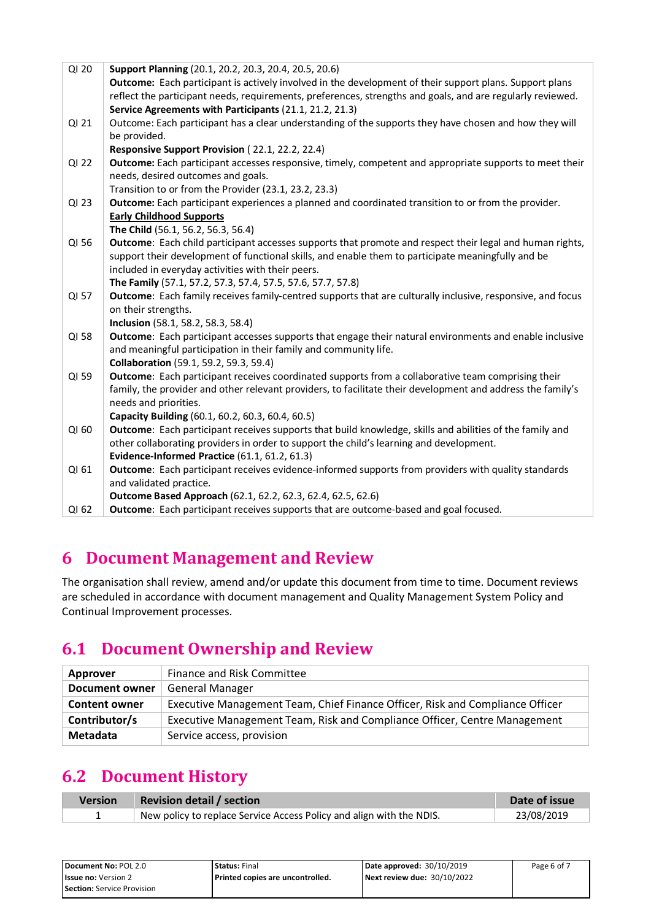| QI 20 | Support Planning (20.1, 20.2, 20.3, 20.4, 20.5, 20.6)                                                       |
|-------|-------------------------------------------------------------------------------------------------------------|
|       | Outcome: Each participant is actively involved in the development of their support plans. Support plans     |
|       | reflect the participant needs, requirements, preferences, strengths and goals, and are regularly reviewed.  |
|       | Service Agreements with Participants (21.1, 21.2, 21.3)                                                     |
| QI 21 | Outcome: Each participant has a clear understanding of the supports they have chosen and how they will      |
|       | be provided.                                                                                                |
|       | Responsive Support Provision (22.1, 22.2, 22.4)                                                             |
| QI 22 | Outcome: Each participant accesses responsive, timely, competent and appropriate supports to meet their     |
|       | needs, desired outcomes and goals.                                                                          |
|       | Transition to or from the Provider (23.1, 23.2, 23.3)                                                       |
| QI 23 | Outcome: Each participant experiences a planned and coordinated transition to or from the provider.         |
|       | <b>Early Childhood Supports</b>                                                                             |
|       | The Child (56.1, 56.2, 56.3, 56.4)                                                                          |
| QI 56 | Outcome: Each child participant accesses supports that promote and respect their legal and human rights,    |
|       | support their development of functional skills, and enable them to participate meaningfully and be          |
|       | included in everyday activities with their peers.                                                           |
|       | The Family (57.1, 57.2, 57.3, 57.4, 57.5, 57.6, 57.7, 57.8)                                                 |
| QI 57 | Outcome: Each family receives family-centred supports that are culturally inclusive, responsive, and focus  |
|       | on their strengths.                                                                                         |
|       | Inclusion (58.1, 58.2, 58.3, 58.4)                                                                          |
| QI 58 | Outcome: Each participant accesses supports that engage their natural environments and enable inclusive     |
|       | and meaningful participation in their family and community life.                                            |
|       | <b>Collaboration</b> (59.1, 59.2, 59.3, 59.4)                                                               |
| QI 59 | Outcome: Each participant receives coordinated supports from a collaborative team comprising their          |
|       | family, the provider and other relevant providers, to facilitate their development and address the family's |
|       | needs and priorities.                                                                                       |
|       | Capacity Building (60.1, 60.2, 60.3, 60.4, 60.5)                                                            |
| QI 60 | Outcome: Each participant receives supports that build knowledge, skills and abilities of the family and    |
|       | other collaborating providers in order to support the child's learning and development.                     |
|       | Evidence-Informed Practice (61.1, 61.2, 61.3)                                                               |
| QI 61 | Outcome: Each participant receives evidence-informed supports from providers with quality standards         |
|       | and validated practice.                                                                                     |
|       | Outcome Based Approach (62.1, 62.2, 62.3, 62.4, 62.5, 62.6)                                                 |
| QI 62 | Outcome: Each participant receives supports that are outcome-based and goal focused.                        |

# **6 Document Management and Review**

The organisation shall review, amend and/or update this document from time to time. Document reviews are scheduled in accordance with document management and Quality Management System Policy and Continual Improvement processes.

## **6.1 Document Ownership and Review**

| Approver              | Finance and Risk Committee                                                    |
|-----------------------|-------------------------------------------------------------------------------|
| <b>Document owner</b> | <b>General Manager</b>                                                        |
| <b>Content owner</b>  | Executive Management Team, Chief Finance Officer, Risk and Compliance Officer |
| Contributor/s         | Executive Management Team, Risk and Compliance Officer, Centre Management     |
| Metadata              | Service access, provision                                                     |

# **6.2 Document History**

| <b>Version</b> | <b>Revision detail / section</b>                                     | Date of issue |
|----------------|----------------------------------------------------------------------|---------------|
|                | New policy to replace Service Access Policy and align with the NDIS. | 23/08/2019    |

| Document No: POL 2.0       | <b>Status: Final</b>               | Date approved: 30/10/2019   | Page 6 of 7 |
|----------------------------|------------------------------------|-----------------------------|-------------|
| <b>Issue no:</b> Version 2 | l Printed copies are uncontrolled. | Next review due: 30/10/2022 |             |
| Section: Service Provision |                                    |                             |             |